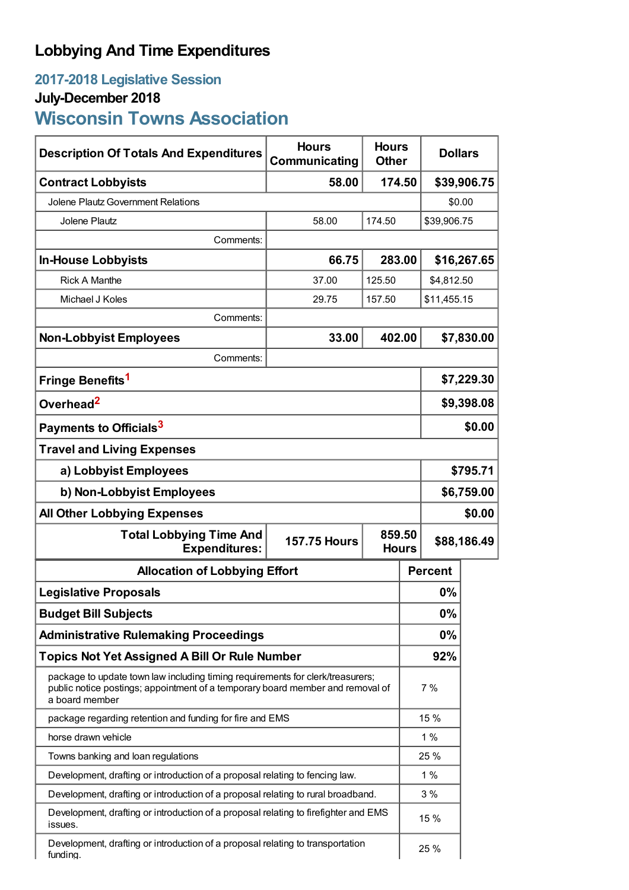## **Lobbying And Time Expenditures**

## **2017-2018 Legislative Session July-December 2018**

**Wisconsin Towns Association**

| <b>Description Of Totals And Expenditures</b>                                                                                                                                      | <b>Hours</b><br>Communicating | <b>Hours</b><br><b>Other</b> |  | <b>Dollars</b> |            |  |
|------------------------------------------------------------------------------------------------------------------------------------------------------------------------------------|-------------------------------|------------------------------|--|----------------|------------|--|
| <b>Contract Lobbyists</b>                                                                                                                                                          | 58.00                         | 174.50                       |  | \$39,906.75    |            |  |
| <b>Jolene Plautz Government Relations</b>                                                                                                                                          |                               |                              |  | \$0.00         |            |  |
| <b>Jolene Plautz</b>                                                                                                                                                               | 58.00                         | 174.50                       |  | \$39,906.75    |            |  |
| Comments:                                                                                                                                                                          |                               |                              |  |                |            |  |
| <b>In-House Lobbyists</b>                                                                                                                                                          | 66.75                         | 283.00                       |  | \$16,267.65    |            |  |
| <b>Rick A Manthe</b>                                                                                                                                                               | 37.00                         | 125.50                       |  |                | \$4,812.50 |  |
| Michael J Koles                                                                                                                                                                    | 29.75                         | 157.50<br>\$11,455.15        |  |                |            |  |
| Comments:                                                                                                                                                                          |                               |                              |  |                |            |  |
| <b>Non-Lobbyist Employees</b>                                                                                                                                                      | 33.00                         | 402.00                       |  |                | \$7,830.00 |  |
| Comments:                                                                                                                                                                          |                               |                              |  |                |            |  |
| Fringe Benefits <sup>1</sup>                                                                                                                                                       |                               |                              |  | \$7,229.30     |            |  |
| Overhead <sup>2</sup>                                                                                                                                                              |                               |                              |  | \$9,398.08     |            |  |
| Payments to Officials <sup>3</sup>                                                                                                                                                 |                               |                              |  | \$0.00         |            |  |
| <b>Travel and Living Expenses</b>                                                                                                                                                  |                               |                              |  |                |            |  |
| a) Lobbyist Employees                                                                                                                                                              |                               |                              |  | \$795.71       |            |  |
| b) Non-Lobbyist Employees                                                                                                                                                          |                               |                              |  | \$6,759.00     |            |  |
| <b>All Other Lobbying Expenses</b>                                                                                                                                                 |                               |                              |  | \$0.00         |            |  |
| 859.50<br><b>Total Lobbying Time And</b><br><b>157.75 Hours</b><br><b>Expenditures:</b><br><b>Hours</b>                                                                            |                               |                              |  | \$88,186.49    |            |  |
| <b>Allocation of Lobbying Effort</b>                                                                                                                                               |                               |                              |  | <b>Percent</b> |            |  |
| <b>Legislative Proposals</b>                                                                                                                                                       |                               |                              |  | 0%             |            |  |
| <b>Budget Bill Subjects</b>                                                                                                                                                        |                               |                              |  | 0%             |            |  |
| <b>Administrative Rulemaking Proceedings</b>                                                                                                                                       |                               |                              |  | 0%             |            |  |
| <b>Topics Not Yet Assigned A Bill Or Rule Number</b>                                                                                                                               |                               |                              |  | 92%            |            |  |
| package to update town law including timing requirements for clerk/treasurers;<br>public notice postings; appointment of a temporary board member and removal of<br>a board member |                               |                              |  | 7 %            |            |  |
| package regarding retention and funding for fire and EMS                                                                                                                           |                               |                              |  | 15 %           |            |  |
| horse drawn vehicle                                                                                                                                                                |                               |                              |  | 1%             |            |  |
| Towns banking and loan regulations                                                                                                                                                 |                               |                              |  | 25 %           |            |  |
| Development, drafting or introduction of a proposal relating to fencing law.                                                                                                       |                               |                              |  | 1%             |            |  |
| Development, drafting or introduction of a proposal relating to rural broadband.                                                                                                   |                               |                              |  | 3%             |            |  |
| Development, drafting or introduction of a proposal relating to firefighter and EMS<br>issues.                                                                                     |                               |                              |  | 15 %           |            |  |
| Development, drafting or introduction of a proposal relating to transportation<br>funding.                                                                                         |                               |                              |  | 25 %           |            |  |